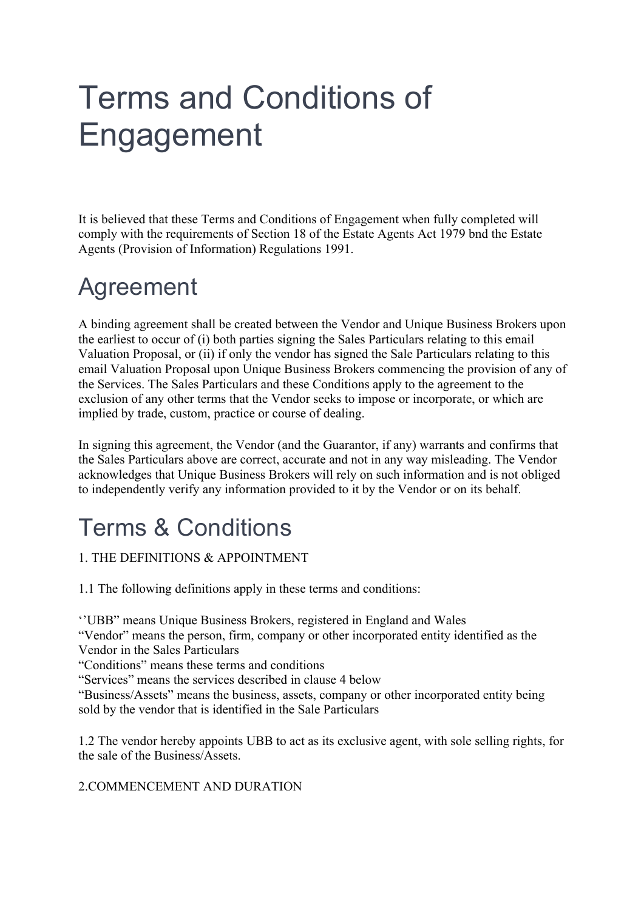# Terms and Conditions of Engagement

It is believed that these Terms and Conditions of Engagement when fully completed will comply with the requirements of Section 18 of the Estate Agents Act 1979 bnd the Estate Agents (Provision of Information) Regulations 1991.

## Agreement

A binding agreement shall be created between the Vendor and Unique Business Brokers upon the earliest to occur of (i) both parties signing the Sales Particulars relating to this email Valuation Proposal, or (ii) if only the vendor has signed the Sale Particulars relating to this email Valuation Proposal upon Unique Business Brokers commencing the provision of any of the Services. The Sales Particulars and these Conditions apply to the agreement to the exclusion of any other terms that the Vendor seeks to impose or incorporate, or which are implied by trade, custom, practice or course of dealing.

In signing this agreement, the Vendor (and the Guarantor, if any) warrants and confirms that the Sales Particulars above are correct, accurate and not in any way misleading. The Vendor acknowledges that Unique Business Brokers will rely on such information and is not obliged to independently verify any information provided to it by the Vendor or on its behalf.

# Terms & Conditions

### 1. THE DEFINITIONS & APPOINTMENT

1.1 The following definitions apply in these terms and conditions:

''UBB" means Unique Business Brokers, registered in England and Wales

"Vendor" means the person, firm, company or other incorporated entity identified as the Vendor in the Sales Particulars

"Conditions" means these terms and conditions

"Services" means the services described in clause 4 below

"Business/Assets" means the business, assets, company or other incorporated entity being sold by the vendor that is identified in the Sale Particulars

1.2 The vendor hereby appoints UBB to act as its exclusive agent, with sole selling rights, for the sale of the Business/Assets.

### 2.COMMENCEMENT AND DURATION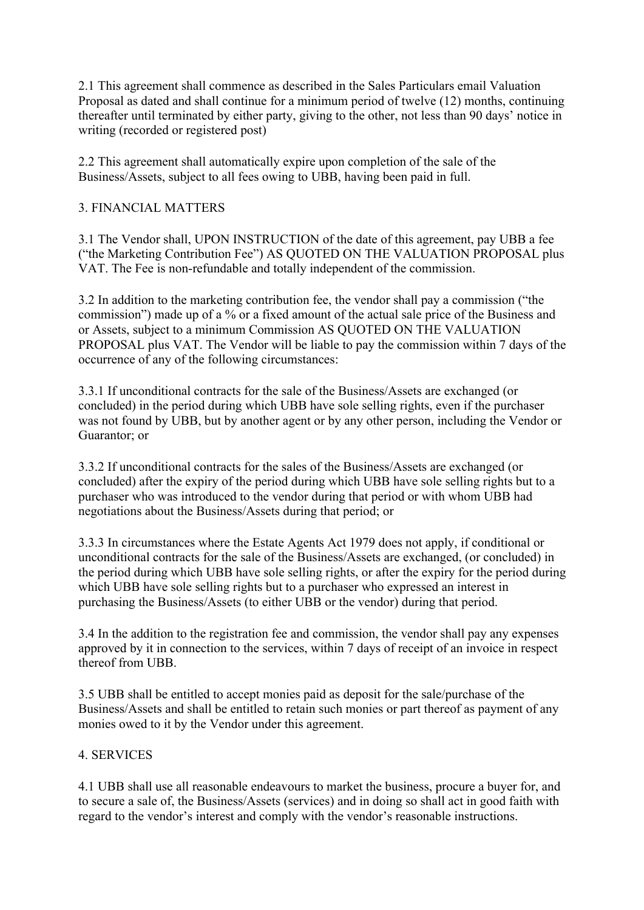2.1 This agreement shall commence as described in the Sales Particulars email Valuation Proposal as dated and shall continue for a minimum period of twelve (12) months, continuing thereafter until terminated by either party, giving to the other, not less than 90 days' notice in writing (recorded or registered post)

2.2 This agreement shall automatically expire upon completion of the sale of the Business/Assets, subject to all fees owing to UBB, having been paid in full.

#### 3. FINANCIAL MATTERS

3.1 The Vendor shall, UPON INSTRUCTION of the date of this agreement, pay UBB a fee ("the Marketing Contribution Fee") AS QUOTED ON THE VALUATION PROPOSAL plus VAT. The Fee is non-refundable and totally independent of the commission.

3.2 In addition to the marketing contribution fee, the vendor shall pay a commission ("the commission") made up of a % or a fixed amount of the actual sale price of the Business and or Assets, subject to a minimum Commission AS QUOTED ON THE VALUATION PROPOSAL plus VAT. The Vendor will be liable to pay the commission within 7 days of the occurrence of any of the following circumstances:

3.3.1 If unconditional contracts for the sale of the Business/Assets are exchanged (or concluded) in the period during which UBB have sole selling rights, even if the purchaser was not found by UBB, but by another agent or by any other person, including the Vendor or Guarantor; or

3.3.2 If unconditional contracts for the sales of the Business/Assets are exchanged (or concluded) after the expiry of the period during which UBB have sole selling rights but to a purchaser who was introduced to the vendor during that period or with whom UBB had negotiations about the Business/Assets during that period; or

3.3.3 In circumstances where the Estate Agents Act 1979 does not apply, if conditional or unconditional contracts for the sale of the Business/Assets are exchanged, (or concluded) in the period during which UBB have sole selling rights, or after the expiry for the period during which UBB have sole selling rights but to a purchaser who expressed an interest in purchasing the Business/Assets (to either UBB or the vendor) during that period.

3.4 In the addition to the registration fee and commission, the vendor shall pay any expenses approved by it in connection to the services, within 7 days of receipt of an invoice in respect thereof from UBB.

3.5 UBB shall be entitled to accept monies paid as deposit for the sale/purchase of the Business/Assets and shall be entitled to retain such monies or part thereof as payment of any monies owed to it by the Vendor under this agreement.

#### 4. SERVICES

4.1 UBB shall use all reasonable endeavours to market the business, procure a buyer for, and to secure a sale of, the Business/Assets (services) and in doing so shall act in good faith with regard to the vendor's interest and comply with the vendor's reasonable instructions.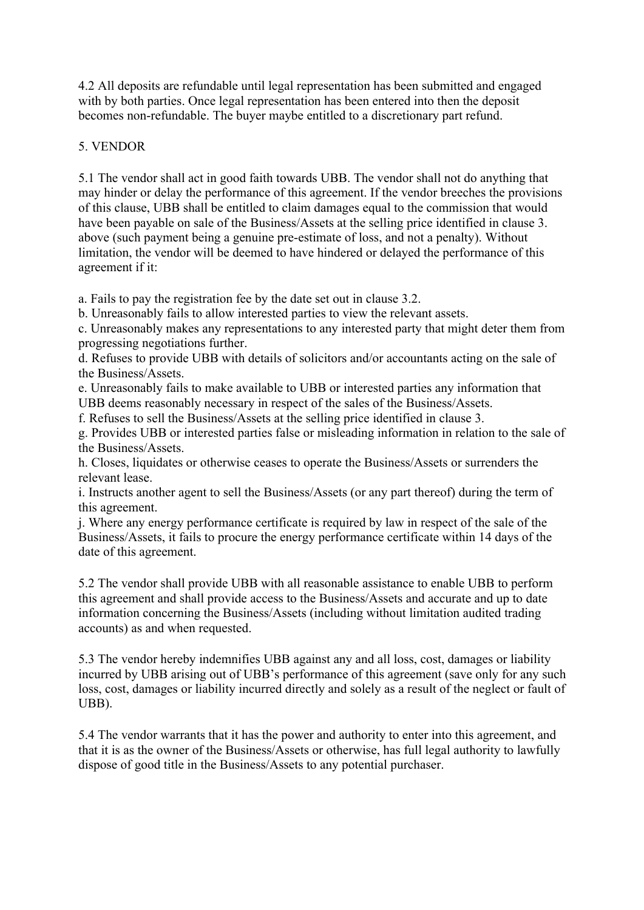4.2 All deposits are refundable until legal representation has been submitted and engaged with by both parties. Once legal representation has been entered into then the deposit becomes non-refundable. The buyer maybe entitled to a discretionary part refund.

#### 5. VENDOR

5.1 The vendor shall act in good faith towards UBB. The vendor shall not do anything that may hinder or delay the performance of this agreement. If the vendor breeches the provisions of this clause, UBB shall be entitled to claim damages equal to the commission that would have been payable on sale of the Business/Assets at the selling price identified in clause 3. above (such payment being a genuine pre-estimate of loss, and not a penalty). Without limitation, the vendor will be deemed to have hindered or delayed the performance of this agreement if it:

a. Fails to pay the registration fee by the date set out in clause 3.2.

b. Unreasonably fails to allow interested parties to view the relevant assets.

c. Unreasonably makes any representations to any interested party that might deter them from progressing negotiations further.

d. Refuses to provide UBB with details of solicitors and/or accountants acting on the sale of the Business/Assets.

e. Unreasonably fails to make available to UBB or interested parties any information that UBB deems reasonably necessary in respect of the sales of the Business/Assets.

f. Refuses to sell the Business/Assets at the selling price identified in clause 3.

g. Provides UBB or interested parties false or misleading information in relation to the sale of the Business/Assets.

h. Closes, liquidates or otherwise ceases to operate the Business/Assets or surrenders the relevant lease.

i. Instructs another agent to sell the Business/Assets (or any part thereof) during the term of this agreement.

j. Where any energy performance certificate is required by law in respect of the sale of the Business/Assets, it fails to procure the energy performance certificate within 14 days of the date of this agreement.

5.2 The vendor shall provide UBB with all reasonable assistance to enable UBB to perform this agreement and shall provide access to the Business/Assets and accurate and up to date information concerning the Business/Assets (including without limitation audited trading accounts) as and when requested.

5.3 The vendor hereby indemnifies UBB against any and all loss, cost, damages or liability incurred by UBB arising out of UBB's performance of this agreement (save only for any such loss, cost, damages or liability incurred directly and solely as a result of the neglect or fault of UBB).

5.4 The vendor warrants that it has the power and authority to enter into this agreement, and that it is as the owner of the Business/Assets or otherwise, has full legal authority to lawfully dispose of good title in the Business/Assets to any potential purchaser.